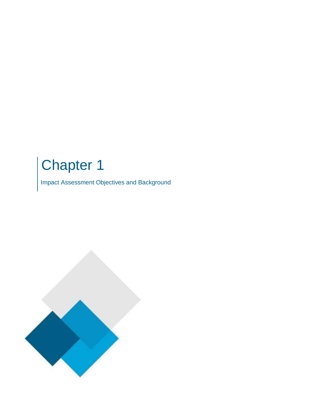## Chapter 1

Impact Assessment Objectives and Background

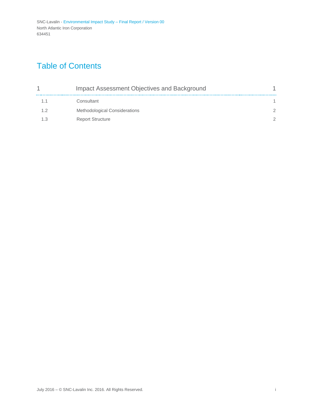## Table of Contents

|    | Impact Assessment Objectives and Background |  |
|----|---------------------------------------------|--|
| 11 | Consultant                                  |  |
| 12 | <b>Methodological Considerations</b>        |  |
|    | <b>Report Structure</b>                     |  |
|    |                                             |  |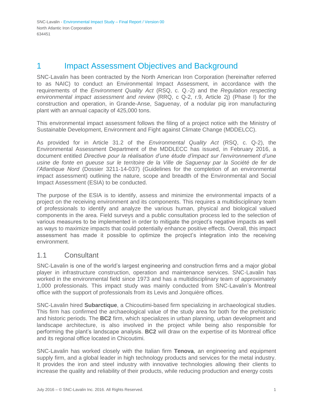### <span id="page-2-0"></span>1 **Impact Assessment Objectives and Background**

SNC-Lavalin has been contracted by the North American Iron Corporation (hereinafter referred to as NAIC) to conduct an Environmental Impact Assessment, in accordance with the requirements of the *Environment Quality Act* (RSQ, c. Q.-2) and the *Regulation respecting environmental impact assessment and review* (RRQ, c Q-2, r.9, Article 2j) (Phase I) for the construction and operation, in Grande-Anse, Saguenay, of a nodular pig iron manufacturing plant with an annual capacity of 425,000 tons.

This environmental impact assessment follows the filing of a project notice with the Ministry of Sustainable Development, Environment and Fight against Climate Change (MDDELCC).

As provided for in Article 31.2 of the *Environmental Quality Act* (RSQ, c. Q-2), the Environmental Assessment Department of the MDDLECC has issued, in February 2016, a document entitled *Directive pour la réalisation d'une étude d'impact sur l'environnement d'une*  usine de fonte en queuse sur le territoire de la Ville de Saguenay par la Société de fer de *l'Atlantique Nord* (Dossier 3211-14-037) (Guidelines for the completion of an environmental impact assessment) outlining the nature, scope and breadth of the Environmental and Social Impact Assessment (ESIA) to be conducted.

The purpose of the ESIA is to identify, assess and minimize the environmental impacts of a project on the receiving environment and its components. This requires a multidisciplinary team of professionals to identify and analyze the various human, physical and biological valued components in the area. Field surveys and a public consultation process led to the selection of various measures to be implemented in order to mitigate the project's negative impacts as well as ways to maximize impacts that could potentially enhance positive effects. Overall, this impact assessment has made it possible to optimize the project's integration into the receiving environment.

#### <span id="page-2-1"></span>1.1 Consultant

SNC-Lavalin is one of the world's largest engineering and construction firms and a major global player in infrastructure construction, operation and maintenance services. SNC-Lavalin has worked in the environmental field since 1973 and has a multidisciplinary team of approximately 1,000 professionals. This impact study was mainly conducted from SNC-Lavalin's Montreal office with the support of professionals from its Levis and Jonquière offices.

SNC-Lavalin hired **Subarctique**, a Chicoutimi-based firm specializing in archaeological studies. This firm has confirmed the archaeological value of the study area for both for the prehistoric and historic periods. The **BC2** firm, which specializes in urban planning, urban development and landscape architecture, is also involved in the project while being also responsible for performing the plant's landscape analysis. **BC2** will draw on the expertise of its Montreal office and its regional office located in Chicoutimi.

SNC-Lavalin has worked closely with the Italian firm **Tenova**, an engineering and equipment supply firm, and a global leader in high technology products and services for the metal industry. It provides the iron and steel industry with innovative technologies allowing their clients to increase the quality and reliability of their products, while reducing production and energy costs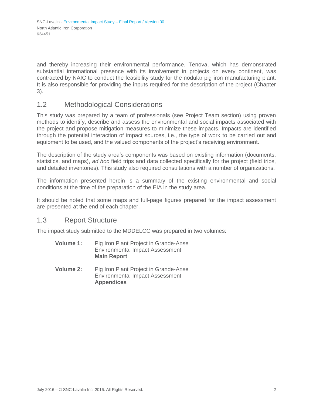and thereby increasing their environmental performance. Tenova, which has demonstrated substantial international presence with its involvement in projects on every continent, was contracted by NAIC to conduct the feasibility study for the nodular pig iron manufacturing plant. It is also responsible for providing the inputs required for the description of the project (Chapter 3).

#### <span id="page-3-0"></span>1.2 Methodological Considerations

This study was prepared by a team of professionals (see Project Team section) using proven methods to identify, describe and assess the environmental and social impacts associated with the project and propose mitigation measures to minimize these impacts. Impacts are identified through the potential interaction of impact sources, i.e., the type of work to be carried out and equipment to be used, and the valued components of the project's receiving environment.

The description of the study area's components was based on existing information (documents, statistics, and maps), *ad hoc* field trips and data collected specifically for the project (field trips, and detailed inventories). This study also required consultations with a number of organizations.

The information presented herein is a summary of the existing environmental and social conditions at the time of the preparation of the EIA in the study area.

It should be noted that some maps and full-page figures prepared for the impact assessment are presented at the end of each chapter.

#### <span id="page-3-1"></span>1.3 Report Structure

The impact study submitted to the MDDELCC was prepared in two volumes:

- **Volume 1:** Pig Iron Plant Project in Grande-Anse Environmental Impact Assessment **Main Report**
- **Volume 2:** Pig Iron Plant Project in Grande-Anse Environmental Impact Assessment **Appendices**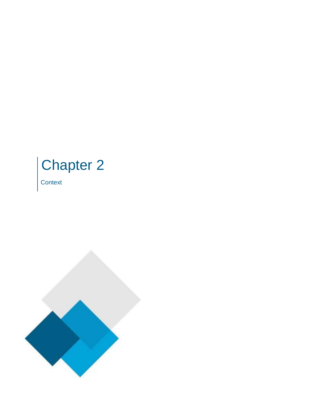# Chapter 2

**Context** 

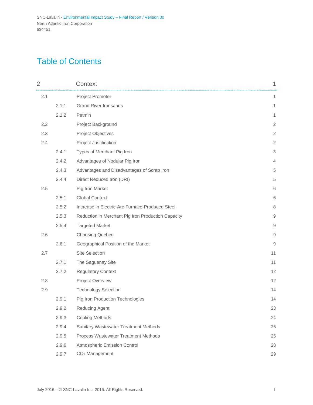## Table of Contents

| $\overline{2}$ |       | Context                                            | 1              |
|----------------|-------|----------------------------------------------------|----------------|
| 2.1            |       | Project Promoter                                   | 1              |
|                | 2.1.1 | <b>Grand River Ironsands</b>                       | 1              |
|                | 2.1.2 | Petmin                                             | 1              |
| 2.2            |       | Project Background                                 | $\overline{2}$ |
| 2.3            |       | <b>Project Objectives</b>                          | $\sqrt{2}$     |
| 2.4            |       | Project Justification                              | $\overline{2}$ |
|                | 2.4.1 | Types of Merchant Pig Iron                         | 3              |
|                | 2.4.2 | Advantages of Nodular Pig Iron                     | 4              |
|                | 2.4.3 | Advantages and Disadvantages of Scrap Iron         | 5              |
|                | 2.4.4 | Direct Reduced Iron (DRI)                          | 5              |
| 2.5            |       | Pig Iron Market                                    | 6              |
|                | 2.5.1 | <b>Global Context</b>                              | 6              |
|                | 2.5.2 | Increase in Electric-Arc-Furnace-Produced Steel    | $\,8\,$        |
|                | 2.5.3 | Reduction in Merchant Pig Iron Production Capacity | 9              |
|                | 2.5.4 | <b>Targeted Market</b>                             | 9              |
| 2.6            |       | <b>Choosing Quebec</b>                             | 9              |
|                | 2.6.1 | Geographical Position of the Market                | 9              |
| 2.7            |       | Site Selection                                     | 11             |
|                | 2.7.1 | The Saguenay Site                                  | 11             |
|                | 2.7.2 | <b>Regulatory Context</b>                          | 12             |
| 2.8            |       | Project Overview                                   | 12             |
| 2.9            |       | <b>Technology Selection</b>                        | 14             |
|                | 2.9.1 | Pig Iron Production Technologies                   | 14             |
|                | 2.9.2 | Reducing Agent                                     | 23             |
|                | 2.9.3 | <b>Cooling Methods</b>                             | 24             |
|                | 2.9.4 | Sanitary Wastewater Treatment Methods              | 25             |
|                | 2.9.5 | <b>Process Wastewater Treatment Methods</b>        | 25             |
|                | 2.9.6 | Atmospheric Emission Control                       | 28             |
|                | 2.9.7 | CO <sub>2</sub> Management                         | 29             |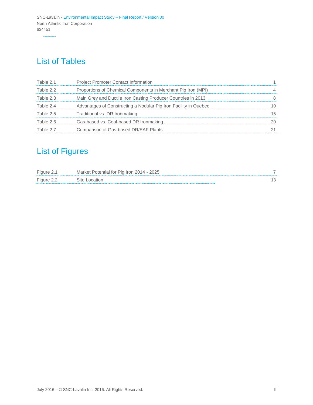## List of Tables

| Table 2.1 | <b>Project Promoter Contact Information</b>                      | 1.             |
|-----------|------------------------------------------------------------------|----------------|
| Table 2.2 | Proportions of Chemical Components in Merchant Pig Iron (MPI)    | $\overline{4}$ |
| Table 2.3 | Main Grey and Ductile Iron Casting Producer Countries in 2013    | 8              |
| Table 2.4 | Advantages of Constructing a Nodular Pig Iron Facility in Quebec | 10             |
| Table 2.5 | Traditional vs. DR Ironmaking                                    | 15             |
| Table 2.6 | Gas-based vs. Coal-based DR Ironmaking                           | 20             |
| Table 2.7 | Comparison of Gas-based DR/EAF Plants                            | 21             |

## List of Figures

| Figure 2.1 | Market Potential for Pig Iron 2014 - 2025 |  |
|------------|-------------------------------------------|--|
| Figure 2.2 | Site Location                             |  |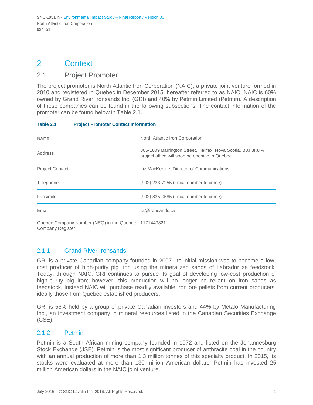## <span id="page-7-0"></span>2 Context

#### <span id="page-7-1"></span>2.1 Project Promoter

The project promoter is North Atlantic Iron Corporation (NAIC), a private joint venture formed in 2010 and registered in Quebec in December 2015, hereafter referred to as NAIC. NAIC is 60% owned by Grand River Ironsands Inc. (GRI) and 40% by Petmin Limited (Petmin). A description of these companies can be found in the following subsections. The contact information of the promoter can be found below in Table 2.1.

| Table 2.1 | <b>Project Promoter Contact Information</b> |
|-----------|---------------------------------------------|
|           |                                             |

| Name                                                          | North Atlantic Iron Corporation                                                                               |
|---------------------------------------------------------------|---------------------------------------------------------------------------------------------------------------|
| Address                                                       | 805-1809 Barrington Street, Halifax, Nova Scotia, B3J 3K8 A<br>project office will soon be opening in Quebec. |
| <b>Project Contact</b>                                        | Liz MacKenzie, Director of Communications                                                                     |
| Telephone                                                     | (902) 233-7255 (Local number to come)                                                                         |
| Facsimile                                                     | (902) 835-0585 (Local number to come)                                                                         |
| Email                                                         | liz@ironsands.ca                                                                                              |
| Quebec Company Number (NEQ) in the Quebec<br>Company Register | 1171449821                                                                                                    |

#### <span id="page-7-2"></span>2.1.1 Grand River Ironsands

GRI is a private Canadian company founded in 2007. Its initial mission was to become a lowcost producer of high-purity pig iron using the mineralized sands of Labrador as feedstock. Today, through NAIC, GRI continues to pursue its goal of developing low-cost production of high-purity pig iron; however, this production will no longer be reliant on iron sands as feedstock. Instead NAIC will purchase readily available iron ore pellets from current producers, ideally those from Quebec established producers.

GRI is 56% held by a group of private Canadian investors and 44% by Metalo Manufacturing Inc., an investment company in mineral resources listed in the Canadian Securities Exchange (CSE).

#### <span id="page-7-3"></span>2.1.2 Petmin

Petmin is a South African mining company founded in 1972 and listed on the Johannesburg Stock Exchange (JSE). Petmin is the most significant producer of anthracite coal in the country with an annual production of more than 1.3 million tonnes of this specialty product. In 2015, its stocks were evaluated at more than 130 million American dollars. Petmin has invested 25 million American dollars in the NAIC joint venture.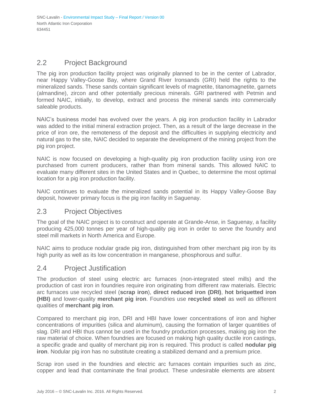#### <span id="page-8-0"></span>2.2 Project Background

The pig iron production facility project was originally planned to be in the center of Labrador, near Happy Valley-Goose Bay, where Grand River Ironsands (GRI) held the rights to the mineralized sands. These sands contain significant levels of magnetite, titanomagnetite, garnets (almandine), zircon and other potentially precious minerals. GRI partnered with Petmin and formed NAIC, initially, to develop, extract and process the mineral sands into commercially saleable products.

NAIC's business model has evolved over the years. A pig iron production facility in Labrador was added to the initial mineral extraction project. Then, as a result of the large decrease in the price of iron ore, the remoteness of the deposit and the difficulties in supplying electricity and natural gas to the site, NAIC decided to separate the development of the mining project from the pig iron project.

NAIC is now focused on developing a high-quality pig iron production facility using iron ore purchased from current producers, rather than from mineral sands. This allowed NAIC to evaluate many different sites in the United States and in Quebec, to determine the most optimal location for a pig iron production facility.

NAIC continues to evaluate the mineralized sands potential in its Happy Valley-Goose Bay deposit, however primary focus is the pig iron facility in Saguenay.

#### <span id="page-8-1"></span>2.3 Project Objectives

The goal of the NAIC project is to construct and operate at Grande-Anse, in Saguenay, a facility producing 425,000 tonnes per year of high-quality pig iron in order to serve the foundry and steel mill markets in North America and Europe.

NAIC aims to produce nodular grade pig iron, distinguished from other merchant pig iron by its high purity as well as its low concentration in manganese, phosphorous and sulfur.

#### <span id="page-8-2"></span>2.4 Project Justification

The production of steel using electric arc furnaces (non-integrated steel mills) and the production of cast iron in foundries require iron originating from different raw materials. Electric arc furnaces use recycled steel (**scrap iron**), **direct reduced iron (DRI)**, **hot briquetted iron (HBI)** and lower-quality **merchant pig iron**. Foundries use **recycled steel** as well as different qualities of **merchant pig iron**.

Compared to merchant pig iron, DRI and HBI have lower concentrations of iron and higher concentrations of impurities (silica and aluminum), causing the formation of larger quantities of slag. DRI and HBI thus cannot be used in the foundry production processes, making pig iron the raw material of choice. When foundries are focused on making high quality ductile iron castings, a specific grade and quality of merchant pig iron is required. This product is called **nodular pig iron**. Nodular pig iron has no substitute creating a stabilized demand and a premium price.

Scrap iron used in the foundries and electric arc furnaces contain impurities such as zinc, copper and lead that contaminate the final product. These undesirable elements are absent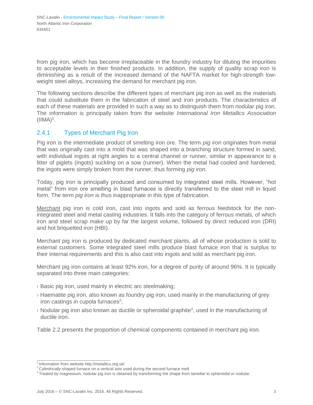from pig iron, which has become irreplaceable in the foundry industry for diluting the impurities to acceptable levels in their finished products. In addition, the supply of quality scrap iron is diminishing as a result of the increased demand of the NAFTA market for high-strength lowweight steel alloys, increasing the demand for merchant pig iron.

The following sections describe the different types of merchant pig iron as well as the materials that could substitute them in the fabrication of steel and iron products. The characteristics of each of these materials are provided in such a way as to distinguish them from nodular pig iron. The information is principally taken from the website *International Iron Metallics Association*   $(IIMA)^1$  $(IIMA)^1$ .

#### <span id="page-9-0"></span>2.4.1 Types of Merchant Pig Iron

Pig iron is the intermediate product of smelting iron ore. The term *pig iron* originates from metal that was originally cast into a mold that was shaped into a branching structure formed in sand, with individual ingots at right angles to a central channel or runner, similar in appearance to a litter of piglets (ingots) suckling on a sow (runner). When the metal had cooled and hardened, the ingots were simply broken from the runner, thus forming *pig iron*.

Today, pig iron is principally produced and consumed by integrated steel mills. However, "hot metal" from iron ore smelting in blast furnaces is directly transferred to the steel mill in liquid form. The term *pig iron* is thus inappropriate in this type of fabrication.

Merchant pig iron is cold iron, cast into ingots and sold as ferrous feedstock for the nonintegrated steel and metal casting industries. It falls into the category of ferrous metals, of which iron and steel scrap make up by far the largest volume, followed by direct reduced iron (DRI) and hot briquetted iron (HBI).

Merchant pig iron is produced by dedicated merchant plants, all of whose production is sold to external customers. Some integrated steel mills produce blast furnace iron that is surplus to their internal requirements and this is also cast into ingots and sold as merchant pig iron.

Merchant pig iron contains at least 92% iron, for a degree of purity of around 96%. It is typically separated into three main categories:

- › Basic pig iron, used mainly in electric arc steelmaking;
- › Haematite pig iron, also known as foundry pig iron, used mainly in the manufacturing of grey iron castings in cupola furnaces<sup>[2](#page-9-2)</sup>;
- $\lambda$  Nodular pig iron also known as ductil[e](#page-9-3) or spheroidal graphite<sup>3</sup>, used in the manufacturing of ductile iron.

Table 2.2 presents the proportion of chemical components contained in merchant pig iron.

 $1$ Information from website<http://metallics.org.uk/>

<span id="page-9-2"></span><span id="page-9-1"></span><sup>2</sup>Cylindrically-shaped furnace on a vertical axis used during the second furnace melt

<span id="page-9-3"></span><sup>&</sup>lt;sup>3</sup> Treated by magnesium, nodular pig iron is obtained by transforming the shape from lamellar to spheroidal or nodular.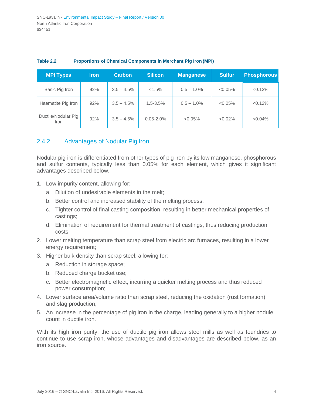| MPI Types                   | <u>Iron</u> | <b>Carbon</b> | <b>Silicon</b> | <b>Manganese</b> | <b>Sulfur</b> | <b>Phosphorous</b> |
|-----------------------------|-------------|---------------|----------------|------------------|---------------|--------------------|
| Basic Pig Iron              | 92%         | $3.5 - 4.5%$  | <1.5%          | $0.5 - 1.0\%$    | $< 0.05\%$    | < 0.12%            |
| Haematite Pig Iron          | 92%         | $3.5 - 4.5\%$ | $1.5 - 3.5%$   | $0.5 - 1.0\%$    | $< 0.05\%$    | < 0.12%            |
| Ductile/Nodular Pig<br>Iron | 92%         | $3.5 - 4.5\%$ | $0.05 - 2.0%$  | $< 0.05\%$       | $< 0.02\%$    | $< 0.04\%$         |

#### **Table 2.2 Proportions of Chemical Components in Merchant Pig Iron (MPI)**

#### <span id="page-10-0"></span>2.4.2 Advantages of Nodular Pig Iron

Nodular pig iron is differentiated from other types of pig iron by its low manganese, phosphorous and sulfur contents, typically less than 0.05% for each element, which gives it significant advantages described below.

- 1. Low impurity content, allowing for:
	- a. Dilution of undesirable elements in the melt;
	- b. Better control and increased stability of the melting process;
	- c. Tighter control of final casting composition, resulting in better mechanical properties of castings;
	- d. Elimination of requirement for thermal treatment of castings, thus reducing production costs;
- 2. Lower melting temperature than scrap steel from electric arc furnaces, resulting in a lower energy requirement;
- 3. Higher bulk density than scrap steel, allowing for:
	- a. Reduction in storage space;
	- b. Reduced charge bucket use;
	- c. Better electromagnetic effect, incurring a quicker melting process and thus reduced power consumption;
- 4. Lower surface area/volume ratio than scrap steel, reducing the oxidation (rust formation) and slag production;
- 5. An increase in the percentage of pig iron in the charge, leading generally to a higher nodule count in ductile iron.

With its high iron purity, the use of ductile pig iron allows steel mills as well as foundries to continue to use scrap iron, whose advantages and disadvantages are described below, as an iron source.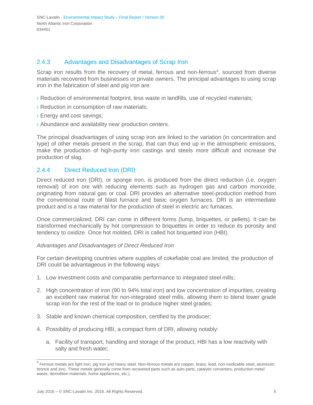#### <span id="page-11-0"></span>2.4.3 Advantages and Disadvantages of Scrap Iron

Scrap iron re[s](#page-11-2)ults from the recovery of metal, ferrous and non-ferrous<sup>4</sup>, sourced from diverse materials recovered from businesses or private owners. The principal advantages to using scrap iron in the fabrication of steel and pig iron are:

- › Reduction of environmental footprint, less waste in landfills, use of recycled materials;
- › Reduction in consumption of raw materials;
- › Energy and cost savings;
- › Abundance and availability near production centers.

The principal disadvantages of using scrap iron are linked to the variation (in concentration and type) of other metals present in the scrap, that can thus end up in the atmospheric emissions, make the production of high-purity iron castings and steels more difficult and increase the production of slag.

#### <span id="page-11-1"></span>2.4.4 Direct Reduced Iron (DRI)

Direct reduced iron (DRI), or sponge iron, is produced from the direct reduction (i.e. oxygen removal) of iron ore with reducing elements such as hydrogen gas and carbon monoxide, originating from natural gas or coal. DRI provides an alternative steel-production method from the conventional route of blast furnace and basic oxygen furnaces. DRI is an intermediate product and is a raw material for the production of steel in electric arc furnaces.

Once commercialized, DRI can come in different forms (lump, briquettes, or pellets). It can be transformed mechanically by hot compression to briquettes in order to reduce its porosity and tendency to oxidize. Once hot molded, DRI is called hot briquetted iron (HBI).

#### *Advantages and Disadvantages of Direct Reduced Iron*

For certain developing countries where supplies of cokefiable coal are limited, the production of DRI could be advantageous in the following ways:

- 1. Low investment costs and comparable performance to integrated steel mills;
- 2. High concentration of iron (90 to 94% total iron) and low concentration of impurities, creating an excellent raw material for non-integrated steel mills, allowing them to blend lower grade scrap iron for the rest of the load or to produce higher steel grades;
- 3. Stable and known chemical composition, certified by the producer;
- 4. Possibility of producing HBI, a compact form of DRI, allowing notably:
	- a. Facility of transport, handling and storage of the product, HBI has a low reactivity with salty and fresh water;

<span id="page-11-2"></span> $^4$  Ferrous metals are light iron, pig iron and heavy steel. Non-ferrous metals are copper, brass, lead, non-oxidizable steel, aluminum, bronze and zinc. These metals generally come from recovered parts such as auto parts, catalytic converters, production metal waste, demolition materials, home appliances, etc.).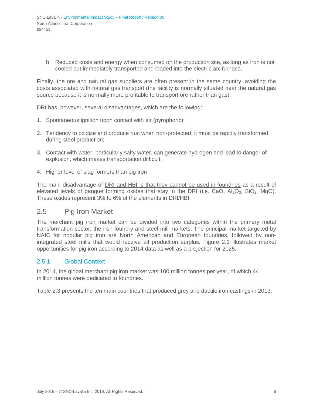b. Reduced costs and energy when consumed on the production site, as long as iron is not cooled but immediately transported and loaded into the electric arc furnace.

Finally, the ore and natural gas suppliers are often present in the same country, avoiding the costs associated with natural gas transport (the facility is normally situated near the natural gas source because it is normally more profitable to transport ore rather than gas).

DRI has, however, several disadvantages, which are the following:

- 1. Spontaneous ignition upon contact with air (pyrophoric);
- 2. Tendency to oxidize and produce rust when non-protected; it must be rapidly transformed during steel production;
- 3. Contact with water, particularly salty water, can generate hydrogen and lead to danger of explosion, which makes transportation difficult.
- 4. Higher level of slag formers than pig iron

The main disadvantage of DRI and HBI is that they cannot be used in foundries as a result of elevated levels of gangue forming oxides that stay in the DRI (i.e. CaO,  $Al_2O_3$ , SiO<sub>2</sub>, MgO). These oxides represent 3% to 6% of the elements in DRI/HBI.

#### <span id="page-12-0"></span>2.5 Pig Iron Market

The merchant pig iron market can be divided into two categories within the primary metal transformation sector: the iron foundry and steel mill markets. The principal market targeted by NAIC for nodular pig iron are North American and European foundries, followed by nonintegrated steel mills that would receive all production surplus. Figure 2.1 illustrates market opportunities for pig iron according to 2014 data as well as a projection for 2025.

#### <span id="page-12-1"></span>2.5.1 Global Context

In 2014, the global merchant pig iron market was 100 million tonnes per year, of which 44 million tonnes were dedicated to foundries.

Table 2.3 presents the ten main countries that produced grey and ductile iron castings in 2013.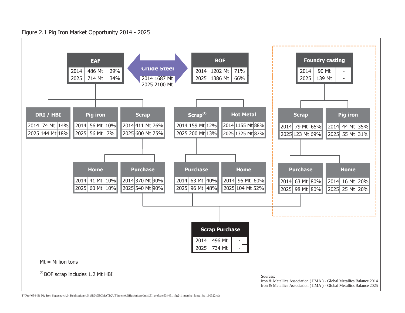

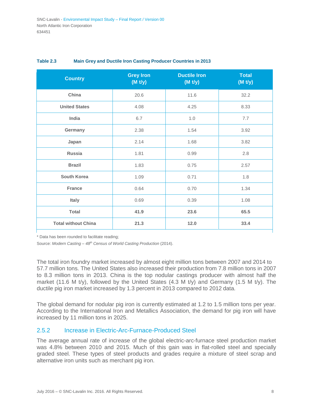| <b>Country</b>             | <b>Grey Iron</b><br>(M t/y) | <b>Ductile Iron</b><br>(M t/y) | <b>Total</b><br>(M t/y) |
|----------------------------|-----------------------------|--------------------------------|-------------------------|
| China                      | 20.6                        | 11.6                           | 32.2                    |
| <b>United States</b>       | 4.08                        | 4.25                           | 8.33                    |
| India                      | 6.7                         | 1.0                            | 7.7                     |
| Germany                    | 2.38                        | 1.54                           | 3.92                    |
| Japan                      | 2.14                        | 1.68                           | 3.82                    |
| <b>Russia</b>              | 1.81                        | 0.99                           | 2.8                     |
| <b>Brazil</b>              | 1.83                        | 0.75                           | 2.57                    |
| <b>South Korea</b>         | 1.09                        | 0.71                           | 1.8                     |
| <b>France</b>              | 0.64                        | 0.70                           | 1.34                    |
| Italy                      | 0.69                        | 0.39                           | 1.08                    |
| <b>Total</b>               | 41.9                        | 23.6                           | 65.5                    |
| <b>Total without China</b> | 21.3                        | 12.0                           | 33.4                    |

#### **Table 2.3 Main Grey and Ductile Iron Casting Producer Countries in 2013**

\* Data has been rounded to facilitate reading;

Source: *Modern Casting – 48th Census of World Casting Production* (2014).

The total iron foundry market increased by almost eight million tons between 2007 and 2014 to 57.7 million tons. The United States also increased their production from 7.8 million tons in 2007 to 8.3 million tons in 2013. China is the top nodular castings producer with almost half the market (11.6 M t/y), followed by the United States (4.3 M t/y) and Germany (1.5 M t/y). The ductile pig iron market increased by 1.3 percent in 2013 compared to 2012 data.

The global demand for nodular pig iron is currently estimated at 1.2 to 1.5 million tons per year. According to the International Iron and Metallics Association, the demand for pig iron will have increased by 11 million tons in 2025.

#### <span id="page-14-0"></span>2.5.2 Increase in Electric-Arc-Furnace-Produced Steel

The average annual rate of increase of the global electric-arc-furnace steel production market was 4.8% between 2010 and 2015. Much of this gain was in flat-rolled steel and specially graded steel. These types of steel products and grades require a mixture of steel scrap and alternative iron units such as merchant pig iron.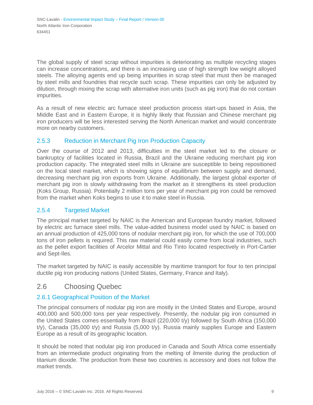The global supply of steel scrap without impurities is deteriorating as multiple recycling stages can increase concentrations, and there is an increasing use of high strength low weight alloyed steels. The alloying agents end up being impurities in scrap steel that must then be managed by steel mills and foundries that recycle such scrap. These impurities can only be adjusted by dilution, through mixing the scrap with alternative iron units (such as pig iron) that do not contain impurities.

As a result of new electric arc furnace steel production process start-ups based in Asia, the Middle East and in Eastern Europe, it is highly likely that Russian and Chinese merchant pig iron producers will be less interested serving the North American market and would concentrate more on nearby customers.

#### <span id="page-15-0"></span>2.5.3 Reduction in Merchant Pig Iron Production Capacity

Over the course of 2012 and 2013, difficulties in the steel market led to the closure or bankruptcy of facilities located in Russia, Brazil and the Ukraine reducing merchant pig iron production capacity. The integrated steel mills in Ukraine are susceptible to being repositioned on the local steel market, which is showing signs of equilibrium between supply and demand, decreasing merchant pig iron exports from Ukraine. Additionally, the largest global exporter of merchant pig iron is slowly withdrawing from the market as it strengthens its steel production (Koks Group, Russia). Potentially 2 million tons per year of merchant pig iron could be removed from the market when Koks begins to use it to make steel in Russia.

#### <span id="page-15-1"></span>2.5.4 Targeted Market

The principal market targeted by NAIC is the American and European foundry market, followed by electric arc furnace steel mills. The value-added business model used by NAIC is based on an annual production of 425,000 tons of nodular merchant pig iron, for which the use of 700,000 tons of iron pellets is required. This raw material could easily come from local industries, such as the pellet export facilities of Arcelor Mittal and Rio Tinto located respectively in Port-Cartier and Sept-Iles.

The market targeted by NAIC is easily accessible by maritime transport for four to ten principal ductile pig iron producing nations (United States, Germany, France and Italy).

#### <span id="page-15-2"></span>2.6 Choosing Quebec

#### <span id="page-15-3"></span>2.6.1 Geographical Position of the Market

The principal consumers of nodular pig iron are mostly in the United States and Europe, around 400,000 and 500,000 tons per year respectively. Presently, the nodular pig iron consumed in the United States comes essentially from Brazil (220,000 t/y) followed by South Africa (150,000  $t$ /y), Canada (35,000 t/y) and Russia (5,000 t/y). Russia mainly supplies Europe and Eastern Europe as a result of its geographic location.

It should be noted that nodular pig iron produced in Canada and South Africa come essentially from an intermediate product originating from the melting of ilmenite during the production of titanium dioxide. The production from these two countries is accessory and does not follow the market trends.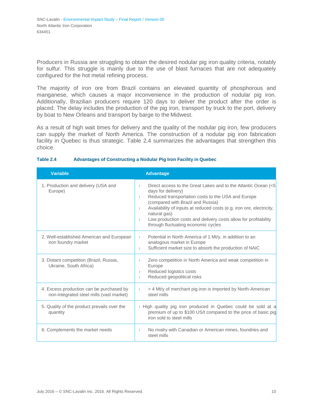Producers in Russia are struggling to obtain the desired nodular pig iron quality criteria, notably for sulfur. This struggle is mainly due to the use of blast furnaces that are not adequately configured for the hot metal refining process.

The majority of iron ore from Brazil contains an elevated quantity of phosphorous and manganese, which causes a major inconvenience in the production of nodular pig iron. Additionally, Brazilian producers require 120 days to deliver the product after the order is placed. The delay includes the production of the pig iron, transport by truck to the port, delivery by boat to New Orleans and transport by barge to the Midwest.

As a result of high wait times for delivery and the quality of the nodular pig iron, few producers can supply the market of North America. The construction of a nodular pig iron fabrication facility in Quebec is thus strategic. Table 2.4 summarizes the advantages that strengthen this choice.

| <b>Variable</b>                                                                      | <b>Advantage</b>                                                                                                                                                                                                                                                                                                                                                                                                                              |
|--------------------------------------------------------------------------------------|-----------------------------------------------------------------------------------------------------------------------------------------------------------------------------------------------------------------------------------------------------------------------------------------------------------------------------------------------------------------------------------------------------------------------------------------------|
| 1. Production and delivery (USA and<br>Europe)                                       | Direct access to the Great Lakes and to the Atlantic Ocean (<5<br>$\mathcal{F}$<br>days for delivery)<br>Reduced transportation costs to the USA and Europe<br>$\lambda$<br>(compared with Brazil and Russia)<br>Availability of inputs at reduced costs (e.g. iron ore, electricity,<br>$\mathcal{F}$<br>natural gas)<br>Low production costs and delivery costs allow for profitability<br>$\lambda$<br>through fluctuating economic cycles |
| 2. Well-established American and European<br>iron foundry market                     | Potential in North America of 1 Mt/y, in addition to an<br>$\sum_{i=1}^{n}$<br>analogous market in Europe<br>Sufficient market size to absorb the production of NAIC<br>$\sum_{i=1}^{n}$                                                                                                                                                                                                                                                      |
| 3. Distant competition (Brazil, Russia,<br>Ukraine, South Africa)                    | Zero competition in North America and weak competition in<br>$\sum_{i=1}^{n}$<br>Europe<br>Reduced logistics costs<br>$\sum_{i=1}^{n}$<br>Reduced geopolitical risks<br>$\mathcal{F}$                                                                                                                                                                                                                                                         |
| 4. Excess production can be purchased by<br>non-integrated steel mills (vast market) | > 4 Mt/y of merchant pig iron is imported by North-American<br>$\mathcal{F}$<br>steel mills                                                                                                                                                                                                                                                                                                                                                   |
| 5. Quality of the product prevails over the<br>quantity                              | $\rightarrow$ High quality pig iron produced in Quebec could be sold at a<br>premium of up to \$100 US/t compared to the price of basic pig<br>iron sold to steel mills                                                                                                                                                                                                                                                                       |
| 6. Complements the market needs                                                      | No rivalry with Canadian or American mines, foundries and<br>$\sum_{i=1}^{n}$<br>steel mills                                                                                                                                                                                                                                                                                                                                                  |

#### **Table 2.4 Advantages of Constructing a Nodular Pig Iron Facility in Quebec**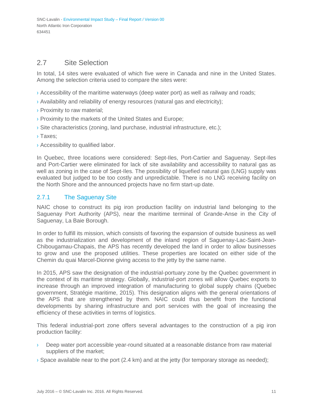#### <span id="page-17-0"></span>2.7 Site Selection

In total, 14 sites were evaluated of which five were in Canada and nine in the United States. Among the selection criteria used to compare the sites were:

- › Accessibility of the maritime waterways (deep water port) as well as railway and roads;
- › Availability and reliability of energy resources (natural gas and electricity);
- › Proximity to raw material;
- › Proximity to the markets of the United States and Europe;
- $\rightarrow$  Site characteristics (zoning, land purchase, industrial infrastructure, etc.);
- › Taxes;
- › Accessibility to qualified labor.

In Quebec, three locations were considered: Sept-Iles, Port-Cartier and Saguenay. Sept-Iles and Port-Cartier were eliminated for lack of site availability and accessibility to natural gas as well as zoning in the case of Sept-Iles. The possibility of liquefied natural gas (LNG) supply was evaluated but judged to be too costly and unpredictable. There is no LNG receiving facility on the North Shore and the announced projects have no firm start-up date.

#### <span id="page-17-1"></span>2.7.1 The Saguenay Site

NAIC chose to construct its pig iron production facility on industrial land belonging to the Saguenay Port Authority (APS), near the maritime terminal of Grande-Anse in the City of Saguenay, La Baie Borough.

In order to fulfill its mission, which consists of favoring the expansion of outside business as well as the industrialization and development of the inland region of Saguenay-Lac-Saint-Jean-Chibougamau-Chapais, the APS has recently developed the land in order to allow businesses to grow and use the proposed utilities. These properties are located on either side of the Chemin du quai Marcel-Dionne giving access to the jetty by the same name.

In 2015, APS saw the designation of the industrial-portuary zone by the Quebec government in the context of its maritime strategy. Globally, industrial-port zones will allow Quebec exports to increase through an improved integration of manufacturing to global supply chains (Quebec government, Stratégie maritime, 2015). This designation aligns with the general orientations of the APS that are strengthened by them. NAIC could thus benefit from the functional developments by sharing infrastructure and port services with the goal of increasing the efficiency of these activities in terms of logistics.

This federal industrial-port zone offers several advantages to the construction of a pig iron production facility:

- › Deep water port accessible year-round situated at a reasonable distance from raw material suppliers of the market;
- $\rightarrow$  Space available near to the port (2.4 km) and at the jetty (for temporary storage as needed);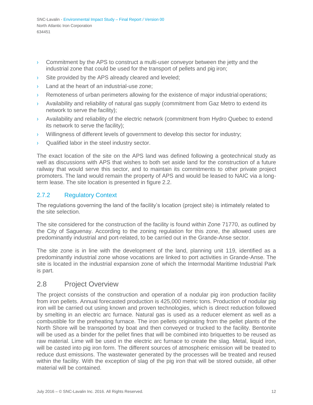- $\rightarrow$  Commitment by the APS to construct a multi-user conveyor between the jetty and the industrial zone that could be used for the transport of pellets and pig iron;
- › Site provided by the APS already cleared and leveled;
- Land at the heart of an industrial-use zone:
- › Remoteness of urban perimeters allowing for the existence of major industrial operations;
- Availability and reliability of natural gas supply (commitment from Gaz Metro to extend its network to serve the facility);
- › Availability and reliability of the electric network (commitment from Hydro Quebec to extend its network to serve the facility);
- › Willingness of different levels of government to develop this sector for industry;
- › Qualified labor in the steel industry sector.

The exact location of the site on the APS land was defined following a geotechnical study as well as discussions with APS that wishes to both set aside land for the construction of a future railway that would serve this sector, and to maintain its commitments to other private project promoters. The land would remain the property of APS and would be leased to NAIC via a longterm lease. The site location is presented in figure 2.2.

#### <span id="page-18-0"></span>2.7.2 Regulatory Context

The regulations governing the land of the facility's location (project site) is intimately related to the site selection.

The site considered for the construction of the facility is found within Zone 71770, as outlined by the City of Saguenay. According to the zoning regulation for this zone, the allowed uses are predominantly industrial and port-related, to be carried out in the Grande-Anse sector.

The site zone is in line with the development of the land, planning unit 119, identified as a predominantly industrial zone whose vocations are linked to port activities in Grande-Anse. The site is located in the industrial expansion zone of which the Intermodal Maritime Industrial Park is part.

#### <span id="page-18-1"></span>2.8 Project Overview

The project consists of the construction and operation of a nodular pig iron production facility from iron pellets. Annual forecasted production is 425,000 metric tons. Production of nodular pig iron will be carried out using known and proven technologies, which is direct reduction followed by smelting in an electric arc furnace. Natural gas is used as a reducer element as well as a combustible for the preheating furnace. The iron pellets originating from the pellet plants of the North Shore will be transported by boat and then conveyed or trucked to the facility. Bentonite will be used as a binder for the pellet fines that will be combined into briquettes to be reused as raw material. Lime will be used in the electric arc furnace to create the slag. Metal, liquid iron, will be casted into pig iron form. The different sources of atmospheric emission will be treated to reduce dust emissions. The wastewater generated by the processes will be treated and reused within the facility. With the exception of slag of the pig iron that will be stored outside, all other material will be contained.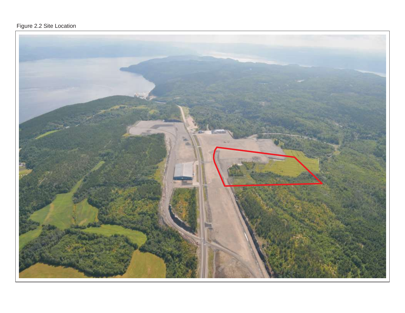#### Figure 2.2 Site Location

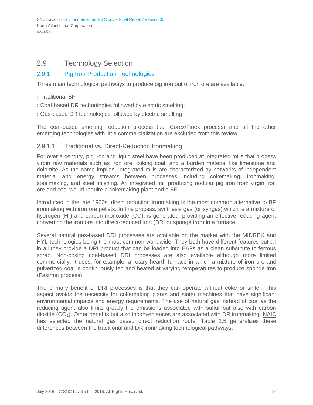#### <span id="page-20-0"></span>2.9 Technology Selection

#### <span id="page-20-1"></span>2.9.1 Pig Iron Production Technologies

Three main technological pathways to produce pig iron out of iron ore are available:

- › Traditional BF;
- › Coal-based DR technologies followed by electric smelting;
- › Gas-based DR technologies followed by electric smelting

The coal-based smelting reduction process (i.e. Corex/Finex process) and all the other emerging technologies with little commercialization are excluded from this review.

#### 2.9.1.1 Traditional vs. Direct-Reduction Ironmaking

For over a century, pig iron and liquid steel have been produced at integrated mills that process virgin raw materials such as iron ore, coking coal, and a burden material like limestone and dolomite. As the name implies, integrated mills are characterized by networks of independent material and energy streams between processes including cokemaking, ironmaking, steelmaking, and steel finishing. An integrated mill producing nodular pig iron from virgin iron ore and coal would require a cokemaking plant and a BF.

Introduced in the late 1960s, direct reduction ironmaking is the most common alternative to BF ironmaking with iron ore pellets. In this process, synthesis gas (or syngas) which is a mixture of hydrogen  $(H<sub>2</sub>)$  and carbon monoxide  $(CO)$ , is generated, providing an effective reducing agent converting the iron ore into direct-reduced iron (DRI or sponge iron) in a furnace.

Several natural gas-based DRI processes are available on the market with the MIDREX and HYL technologies being the most common worldwide. They both have different features but all in all they provide a DRI product that can be loaded into EAFs as a clean substitute to ferrous scrap. Non-coking coal-based DRI processes are also available although more limited commercially. It uses, for example, a rotary hearth furnace in which a mixture of iron ore and pulverized coal is continuously fed and heated at varying temperatures to produce sponge iron (Fastmet process).

The primary benefit of DRI processes is that they can operate without coke or sinter. This aspect avoids the necessity for cokemaking plants and sinter machines that have significant environmental impacts and energy requirements. The use of natural gas instead of coal as the reducing agent also limits greatly the emissions associated with sulfur but also with carbon dioxide  $(CO<sub>2</sub>)$ . Other benefits but also inconveniences are associated with DR ironmaking. NAIC has selected the natural gas based direct reduction route. Table 2.5 generalizes these differences between the traditional and DR ironmaking technological pathways.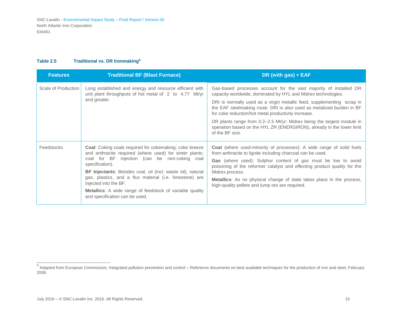#### <span id="page-21-0"></span>**Table 2.5 Traditional vs. DR Ironmakin[g](#page-21-0)<sup>5</sup>**

| <b>Features</b>     | <b>Traditional BF (Blast Furnace)</b>                                                                                                                                                                                                                                                                                                                                                                                                                        | DR (with gas) + EAF                                                                                                                                                                                                                                                                                                                                                                                                                                                                                                |
|---------------------|--------------------------------------------------------------------------------------------------------------------------------------------------------------------------------------------------------------------------------------------------------------------------------------------------------------------------------------------------------------------------------------------------------------------------------------------------------------|--------------------------------------------------------------------------------------------------------------------------------------------------------------------------------------------------------------------------------------------------------------------------------------------------------------------------------------------------------------------------------------------------------------------------------------------------------------------------------------------------------------------|
| Scale of Production | Long established and energy and resource efficient with<br>unit plant throughputs of hot metal of 2 to 4.77 Mt/yr<br>and greater.                                                                                                                                                                                                                                                                                                                            | Gas-based processes account for the vast majority of installed DR<br>capacity worldwide, dominated by HYL and Midrex technologies.<br>DRI is normally used as a virgin metallic feed, supplementing scrap in<br>the EAF steelmaking route. DRI is also used as metalized burden in BF<br>for coke reduction/hot metal productivity increase.<br>DR plants range from 0.2-2.5 Mt/yr; Midrex being the largest module in<br>operation based on the HYL ZR (ENERGIRON), already in the lower limit<br>of the BF size. |
| <b>Feedstocks</b>   | <b>Coal:</b> Coking coals required for cokemaking; coke breeze<br>and anthracite required (where used) for sinter plants;<br>coal for BF injection (can be non-coking coal<br>specification).<br><b>BF Injectants:</b> Besides coal, oil (incl. waste oil), natural<br>gas, plastics, and a flux material (i.e. limestone) are<br>injected into the BF.<br><b>Metallics:</b> A wide range of feedstock of variable quality<br>and specification can be used. | Coal (where used-minority of processes): A wide range of solid fuels<br>from anthracite to lignite including charcoal can be used.<br>Gas (where used): Sulphur content of gas must be low to avoid<br>poisoning of the reformer catalyst and effecting product quality for the<br>Midrex process.<br>Metallics: As no physical change of state takes place in the process,<br>high-quality pellets and lump ore are required.                                                                                     |

<sup>5</sup>Adapted from European Commission, Integrated pollution prevention and control – Reference documents on best available techniques for the production of iron and steel, February 2008.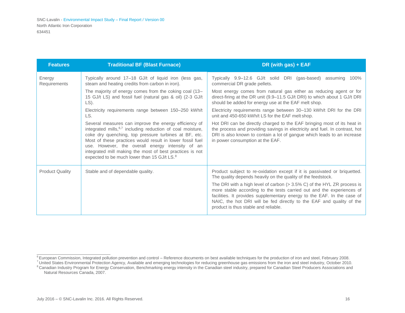<span id="page-22-0"></span>

| <b>Features</b>        | <b>Traditional BF (Blast Furnace)</b>                                                                                                                                                                                                                                                                                                                                                                                            | DR (with gas) + EAF                                                                                                                                                                                                                                                                                                                            |
|------------------------|----------------------------------------------------------------------------------------------------------------------------------------------------------------------------------------------------------------------------------------------------------------------------------------------------------------------------------------------------------------------------------------------------------------------------------|------------------------------------------------------------------------------------------------------------------------------------------------------------------------------------------------------------------------------------------------------------------------------------------------------------------------------------------------|
| Energy<br>Requirements | Typically around 17-18 GJ/t of liquid iron (less gas,<br>steam and heating credits from carbon in iron).                                                                                                                                                                                                                                                                                                                         | Typically 9.9–12.6 GJ/t solid DRI (gas-based) assuming 100%<br>commercial DR grade pellets.                                                                                                                                                                                                                                                    |
|                        | The majority of energy comes from the coking coal (13–<br>15 GJ/t LS) and fossil fuel (natural gas & oil) (2-3 GJ/t<br>LS).                                                                                                                                                                                                                                                                                                      | Most energy comes from natural gas either as reducing agent or for<br>direct-firing at the DR unit (9.9–11.5 GJ/t DRI) to which about 1 GJ/t DRI<br>should be added for energy use at the EAF melt shop.                                                                                                                                       |
|                        | Electricity requirements range between 150-250 kWh/t<br>LS.                                                                                                                                                                                                                                                                                                                                                                      | Electricity requirements range between 30-130 kWh/t DRI for the DRI<br>unit and 450-650 kWh/t LS for the EAF melt shop.                                                                                                                                                                                                                        |
|                        | Several measures can improve the energy efficiency of<br>integrated mills, <sup>6,7</sup> including reduction of coal moisture,<br>coke dry quenching, top pressure turbines at BF, etc.<br>Most of these practices would result in lower fossil fuel<br>use. However, the overall energy intensity of an<br>integrated mill making the most of best practices is not<br>expected to be much lower than 15 GJ/t LS. <sup>8</sup> | Hot DRI can be directly charged to the EAF bringing most of its heat in<br>the process and providing savings in electricity and fuel. In contrast, hot<br>DRI is also known to contain a lot of gangue which leads to an increase<br>in power consumption at the EAF.                                                                          |
| <b>Product Quality</b> | Stable and of dependable quality.                                                                                                                                                                                                                                                                                                                                                                                                | Product subject to re-oxidation except if it is passivated or briquetted.<br>The quality depends heavily on the quality of the feedstock.                                                                                                                                                                                                      |
|                        |                                                                                                                                                                                                                                                                                                                                                                                                                                  | The DRI with a high level of carbon $(> 3.5\% C)$ of the HYL ZR process is<br>more stable according to the tests carried out and the experiences of<br>facilities. It provides supplementary energy to the EAF. In the case of<br>NAIC, the hot DRI will be fed directly to the EAF and quality of the<br>product is thus stable and reliable. |

<sup>&</sup>lt;sup>6</sup> European Commission, Integrated pollution prevention and control – Reference documents on best available techniques for the production of iron and steel, February 2008.

<sup>&</sup>lt;sup>7</sup> United States Environmental Protection Agency, Available and emerging technologies for reducing greenhouse gas emissions from the iron and steel industry, October 2010. <sup>8</sup> Canadian Industry Program for Energy Conservation, Benchmarking energy intensity in the Canadian steel industry, prepared for Canadian Steel Producers Associations and Natural Resources Canada, 2007.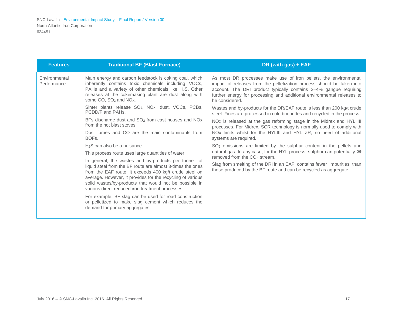| <b>Features</b>                                                                                                                                                                                                                                                                                                                                         | <b>Traditional BF (Blast Furnace)</b>                                                                                                                                                                                                                                                | DR (with gas) + EAF                                                                                                                                                                                                                                                                                         |
|---------------------------------------------------------------------------------------------------------------------------------------------------------------------------------------------------------------------------------------------------------------------------------------------------------------------------------------------------------|--------------------------------------------------------------------------------------------------------------------------------------------------------------------------------------------------------------------------------------------------------------------------------------|-------------------------------------------------------------------------------------------------------------------------------------------------------------------------------------------------------------------------------------------------------------------------------------------------------------|
| Environmental<br>Performance                                                                                                                                                                                                                                                                                                                            | Main energy and carbon feedstock is coking coal, which<br>inherently contains toxic chemicals including VOCs,<br>PAHs and a variety of other chemicals like $H_2S$ . Other<br>releases at the cokemaking plant are dust along with<br>some CO, SO <sub>2</sub> and NO <sub>x</sub> . | As most DR processes make use of iron pellets, the environmental<br>impact of releases from the pelletization process should be taken into<br>account. The DRI product typically contains 2-4% gangue requiring<br>further energy for processing and additional environmental releases to<br>be considered. |
|                                                                                                                                                                                                                                                                                                                                                         | Sinter plants release SO <sub>2</sub> , NO <sub>x</sub> , dust, VOCs, PCBs,<br>PCDD/F and PAHs.                                                                                                                                                                                      | Wastes and by-products for the DR/EAF route is less than 200 kg/t crude<br>steel. Fines are processed in cold briquettes and recycled in the process.                                                                                                                                                       |
|                                                                                                                                                                                                                                                                                                                                                         | BFs discharge dust and $SO2$ from cast houses and NOx<br>from the hot blast stoves.                                                                                                                                                                                                  | NOx is released at the gas reforming stage in the Midrex and HYL III<br>processes. For Midrex, SCR technology is normally used to comply with                                                                                                                                                               |
|                                                                                                                                                                                                                                                                                                                                                         | Dust fumes and CO are the main contaminants from<br>BOFs.                                                                                                                                                                                                                            | NOx limits whilst for the HYLIII and HYL ZR, no need of additional<br>systems are required.                                                                                                                                                                                                                 |
|                                                                                                                                                                                                                                                                                                                                                         | $H2S$ can also be a nuisance.                                                                                                                                                                                                                                                        | SO <sub>2</sub> emissions are limited by the sulphur content in the pellets and<br>natural gas. In any case, for the HYL process, sulphur can potentially be<br>removed from the CO <sub>2</sub> stream.                                                                                                    |
|                                                                                                                                                                                                                                                                                                                                                         | This process route uses large quantities of water.                                                                                                                                                                                                                                   |                                                                                                                                                                                                                                                                                                             |
| In general, the wastes and by-products per tonne of<br>liquid steel from the BF route are almost 3-times the ones<br>from the EAF route. It exceeds 400 kg/t crude steel on<br>average. However, it provides for the recycling of various<br>solid wastes/by-products that would not be possible in<br>various direct reduced iron treatment processes. | Slag from smelting of the DRI in an EAF contains fewer impurities than<br>those produced by the BF route and can be recycled as aggregate.                                                                                                                                           |                                                                                                                                                                                                                                                                                                             |
|                                                                                                                                                                                                                                                                                                                                                         | For example, BF slag can be used for road construction<br>or pelletized to make slag cement which reduces the<br>demand for primary aggregates.                                                                                                                                      |                                                                                                                                                                                                                                                                                                             |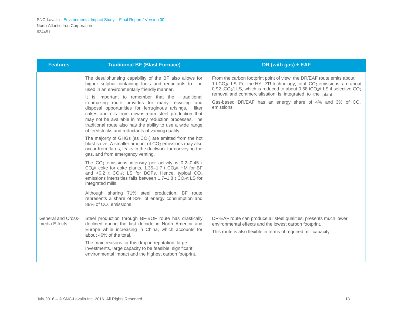| <b>Features</b>                     | <b>Traditional BF (Blast Furnace)</b>                                                                                                                                                                                                                                                                                                                                                                                                                                                                                                                                                                                                                                                                                                                                                                                                                                                                                                                                                                                                                                                                                                                                                                                                                               | DR (with gas) + EAF                                                                                                                                                                                                                                                                                                                                                                                                                            |
|-------------------------------------|---------------------------------------------------------------------------------------------------------------------------------------------------------------------------------------------------------------------------------------------------------------------------------------------------------------------------------------------------------------------------------------------------------------------------------------------------------------------------------------------------------------------------------------------------------------------------------------------------------------------------------------------------------------------------------------------------------------------------------------------------------------------------------------------------------------------------------------------------------------------------------------------------------------------------------------------------------------------------------------------------------------------------------------------------------------------------------------------------------------------------------------------------------------------------------------------------------------------------------------------------------------------|------------------------------------------------------------------------------------------------------------------------------------------------------------------------------------------------------------------------------------------------------------------------------------------------------------------------------------------------------------------------------------------------------------------------------------------------|
|                                     | The desulphurising capability of the BF also allows for<br>higher sulphur-containing fuels and reductants to be<br>used in an environmentally friendly manner.<br>It is important to remember that the<br>traditional<br>ironmaking route provides for many recycling and<br>disposal opportunities for ferruginous arisings,<br>filter<br>cakes and oils from downstream steel production that<br>may not be available in many reduction processes. The<br>traditional route also has the ability to use a wide range<br>of feedstocks and reductants of varying quality.<br>The majority of GHGs (as $CO2$ ) are emitted from the hot<br>blast stove. A smaller amount of CO <sub>2</sub> emissions may also<br>occur from flares, leaks in the ductwork for conveying the<br>gas, and from emergency venting.<br>The $CO2$ emissions intensity per activity is 0.2-0.45 t<br>CO <sub>2</sub> /t coke for coke plants, 1.35-1.7 t CO <sub>2</sub> /t HM for BF<br>and <0.2 t CO2/t LS for BOFs. Hence, typical CO2<br>emissions intensities falls between 1.7–1.8 t CO <sub>2</sub> /t LS for<br>integrated mills.<br>Although sharing 71% steel production, BF route<br>represents a share of 82% of energy consumption and<br>88% of CO <sub>2</sub> emissions. | From the carbon footprint point of view, the DR/EAF route emits about<br>1 t CO <sub>2</sub> /t LS. For the HYL ZR technology, total CO <sub>2</sub> emissions are about<br>0.92 tCO <sub>2</sub> /t LS, which is reduced to about 0.68 tCO <sub>2</sub> /t LS if selective CO <sub>2</sub><br>removal and commercialisation is integrated to the plant.<br>Gas-based DR/EAF has an energy share of 4% and 3% of CO <sub>2</sub><br>emissions. |
| General and Cross-<br>media Effects | Steel production through BF-BOF route has drastically<br>declined during the last decade in North America and<br>Europe while increasing in China, which accounts for<br>about 46% of the total.<br>The main reasons for this drop in reputation: large<br>investments, large capacity to be feasible, significant<br>environmental impact and the highest carbon footprint.                                                                                                                                                                                                                                                                                                                                                                                                                                                                                                                                                                                                                                                                                                                                                                                                                                                                                        | DR-EAF route can produce all steel qualities, presents much lower<br>environmental effects and the lowest carbon footprint.<br>This route is also flexible in terms of required mill capacity.                                                                                                                                                                                                                                                 |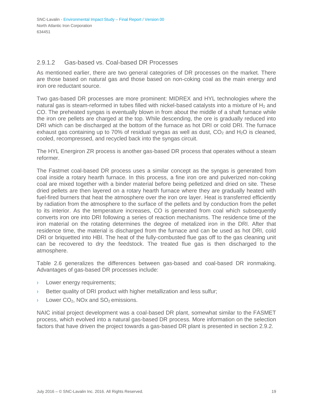#### 2.9.1.2 Gas-based vs. Coal-based DR Processes

As mentioned earlier, there are two general categories of DR processes on the market. There are those based on natural gas and those based on non-coking coal as the main energy and iron ore reductant source.

Two gas-based DR processes are more prominent: MIDREX and HYL technologies where the natural gas is steam-reformed in tubes filled with nickel-based catalysts into a mixture of  $H_2$  and CO. The preheated syngas is eventually blown in from about the middle of a shaft furnace while the iron ore pellets are charged at the top. While descending, the ore is gradually reduced into DRI which can be discharged at the bottom of the furnace as hot DRI or cold DRI. The furnace exhaust gas containing up to 70% of residual syngas as well as dust,  $CO<sub>2</sub>$  and  $H<sub>2</sub>O$  is cleaned, cooled, recompressed, and recycled back into the syngas circuit.

The HYL Energiron ZR process is another gas-based DR process that operates without a steam reformer.

The Fastmet coal-based DR process uses a similar concept as the syngas is generated from coal inside a rotary hearth furnace. In this process, a fine iron ore and pulverized non-coking coal are mixed together with a binder material before being pelletized and dried on site. These dried pellets are then layered on a rotary hearth furnace where they are gradually heated with fuel-fired burners that heat the atmosphere over the iron ore layer. Heat is transferred efficiently by radiation from the atmosphere to the surface of the pellets and by conduction from the pellet to its interior. As the temperature increases, CO is generated from coal which subsequently converts iron ore into DRI following a series of reaction mechanisms. The residence time of the iron material on the rotating determines the degree of metalized iron in the DRI. After that residence time, the material is discharged from the furnace and can be used as hot DRI, cold DRI or briquetted into HBI. The heat of the fully-combusted flue gas off to the gas cleaning unit can be recovered to dry the feedstock. The treated flue gas is then discharged to the atmosphere.

Table 2.6 generalizes the differences between gas-based and coal-based DR ironmaking. Advantages of gas-based DR processes include:

- › Lower energy requirements;
- Better quality of DRI product with higher metallization and less sulfur;
- $\rightarrow$  Lower CO<sub>2</sub>, NO<sub>x</sub> and SO<sub>2</sub> emissions.

NAIC initial project development was a coal-based DR plant, somewhat similar to the FASMET process, which evolved into a natural gas-based DR process. More information on the selection factors that have driven the project towards a gas-based DR plant is presented in section 2.9.2.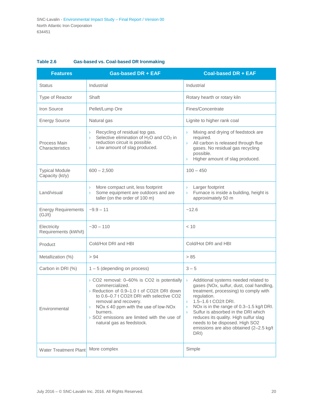| <b>Features</b> | Gas-based DR + EAF |           |
|-----------------|--------------------|-----------|
| <b>Status</b>   | Industrial         | Industria |
| Type of Popptor | Ch <sub>off</sub>  | $D^{+nm}$ |

#### **Table 2.6 Gas-based vs. Coal-based DR Ironmaking**

| <b>Features</b>                          | <b>Gas-based DR + EAF</b>                                                                                                                                                                                                                                                                                                                             | <b>Coal-based DR + EAF</b>                                                                                                                                                                                                                                                                                                                                                                                                            |  |
|------------------------------------------|-------------------------------------------------------------------------------------------------------------------------------------------------------------------------------------------------------------------------------------------------------------------------------------------------------------------------------------------------------|---------------------------------------------------------------------------------------------------------------------------------------------------------------------------------------------------------------------------------------------------------------------------------------------------------------------------------------------------------------------------------------------------------------------------------------|--|
| <b>Status</b>                            | Industrial                                                                                                                                                                                                                                                                                                                                            | Industrial                                                                                                                                                                                                                                                                                                                                                                                                                            |  |
| Type of Reactor                          | Shaft                                                                                                                                                                                                                                                                                                                                                 | Rotary hearth or rotary kiln                                                                                                                                                                                                                                                                                                                                                                                                          |  |
| Iron Source                              | Pellet/Lump Ore                                                                                                                                                                                                                                                                                                                                       | Fines/Concentrate                                                                                                                                                                                                                                                                                                                                                                                                                     |  |
| <b>Energy Source</b>                     | Natural gas                                                                                                                                                                                                                                                                                                                                           | Lignite to higher rank coal                                                                                                                                                                                                                                                                                                                                                                                                           |  |
| Process Main<br>Characteristics          | Recycling of residual top gas.<br>$\mathcal{F}$<br>Selective elimination of H <sub>2</sub> O and CO <sub>2</sub> in<br>$\lambda$<br>reduction circuit is possible.<br>Low amount of slag produced.<br>$\left( \right)$                                                                                                                                | Mixing and drying of feedstock are<br>$\lambda$<br>required.<br>All carbon is released through flue<br>$\lambda$<br>gases. No residual gas recycling<br>possible.<br>Higher amount of slag produced.<br>$\lambda$                                                                                                                                                                                                                     |  |
| <b>Typical Module</b><br>Capacity (kt/y) | $600 - 2,500$                                                                                                                                                                                                                                                                                                                                         | $100 - 450$                                                                                                                                                                                                                                                                                                                                                                                                                           |  |
| Land/visual                              | More compact unit, less footprint<br>$\rightarrow$<br>Some equipment are outdoors and are<br>$\rightarrow$<br>taller (on the order of 100 m)                                                                                                                                                                                                          | Larger footprint<br>$\lambda$<br>Furnace is inside a building, height is<br>$\lambda$<br>approximately 50 m                                                                                                                                                                                                                                                                                                                           |  |
| <b>Energy Requirements</b><br>(GJ/t)     | $-9.9 - 11$                                                                                                                                                                                                                                                                                                                                           | ~12.6                                                                                                                                                                                                                                                                                                                                                                                                                                 |  |
| Electricity<br>Requirements (kWh/t)      | $-30 - 110$                                                                                                                                                                                                                                                                                                                                           | < 10                                                                                                                                                                                                                                                                                                                                                                                                                                  |  |
| Product                                  | Cold/Hot DRI and HBI                                                                                                                                                                                                                                                                                                                                  | Cold/Hot DRI and HBI                                                                                                                                                                                                                                                                                                                                                                                                                  |  |
| Metallization (%)                        | > 94                                                                                                                                                                                                                                                                                                                                                  | > 85                                                                                                                                                                                                                                                                                                                                                                                                                                  |  |
| Carbon in DRI (%)                        | $1 - 5$ (depending on process)                                                                                                                                                                                                                                                                                                                        | $3 - 5$                                                                                                                                                                                                                                                                                                                                                                                                                               |  |
| Environmental                            | > CO2 removal: 0-60% is CO2 is potentially<br>commercialized.<br>> Reduction of 0.9-1.0 t of CO2/t DRI down<br>to 0.6-0.7 t CO2/t DRI with selective CO2<br>removal and recovery.<br>$NOx \le 40$ ppm with the use of low-NOx<br>$\sum_{i=1}^{n}$<br>burners.<br>$\rightarrow$ SO2 emissions are limited with the use of<br>natural gas as feedstock. | Additional systems needed related to<br>$\lambda$<br>gases (NOx, sulfur, dust, coal handling,<br>treatment, processing) to comply with<br>regulation.<br>1.5-1.6 t CO2/t DRI.<br>$\lambda$<br>NOx is in the range of 0.3-1.5 kg/t DRI.<br>$\lambda$<br>Sulfur is absorbed in the DRI which<br>$\lambda$<br>reduces its quality. High sulfur slag<br>needs to be disposed. High SO2<br>emissions are also obtained (2-2.5 kg/t<br>DRI) |  |
| <b>Water Treatment Plant</b>             | More complex                                                                                                                                                                                                                                                                                                                                          | Simple                                                                                                                                                                                                                                                                                                                                                                                                                                |  |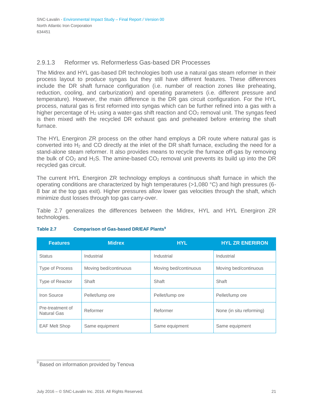#### 2.9.1.3 Reformer vs. Reformerless Gas-based DR Processes

The Midrex and HYL gas-based DR technologies both use a natural gas steam reformer in their process layout to produce syngas but they still have different features. These differences include the DR shaft furnace configuration (i.e. number of reaction zones like preheating, reduction, cooling, and carburization) and operating parameters (i.e. different pressure and temperature). However, the main difference is the DR gas circuit configuration. For the HYL process, natural gas is first reformed into syngas which can be further refined into a gas with a higher percentage of  $H_2$  using a water-gas shift reaction and  $CO_2$  removal unit. The syngas feed is then mixed with the recycled DR exhaust gas and preheated before entering the shaft furnace.

The HYL Energiron ZR process on the other hand employs a DR route where natural gas is converted into  $H_2$  and CO directly at the inlet of the DR shaft furnace, excluding the need for a stand-alone steam reformer. It also provides means to recycle the furnace off-gas by removing the bulk of  $CO<sub>2</sub>$  and H<sub>2</sub>S. The amine-based  $CO<sub>2</sub>$  removal unit prevents its build up into the DR recycled gas circuit.

The current HYL Energiron ZR technology employs a continuous shaft furnace in which the operating conditions are characterized by high temperatures (>1,080 °C) and high pressures (6- 8 bar at the top gas exit). Higher pressures allow lower gas velocities through the shaft, which minimize dust losses through top gas carry-over.

Table 2.7 generalizes the differences between the Midrex, HYL and HYL Energiron ZR technologies.

| <b>Features</b>                        | <b>Midrex</b>         | <b>HYL</b>            | <b>HYL ZR ENERIRON</b>   |
|----------------------------------------|-----------------------|-----------------------|--------------------------|
| <b>Status</b>                          | Industrial            | Industrial            | Industrial               |
| <b>Type of Process</b>                 | Moving bed/continuous | Moving bed/continuous | Moving bed/continuous    |
| Type of Reactor                        | Shaft                 | Shaft                 | Shaft                    |
| Iron Source                            | Pellet/lump ore       | Pellet/lump ore       | Pellet/lump ore          |
| Pre-treatment of<br><b>Natural Gas</b> | Reformer              | Reformer              | None (in situ reforming) |
| <b>EAF Melt Shop</b>                   | Same equipment        | Same equipment        | Same equipment           |

#### **Table 2.7 Comparison of Gas-based DR/EAF Plant[s](#page-27-0)<sup>9</sup>**

<span id="page-27-0"></span><sup>&</sup>lt;sup>9</sup> Based on information provided by Tenova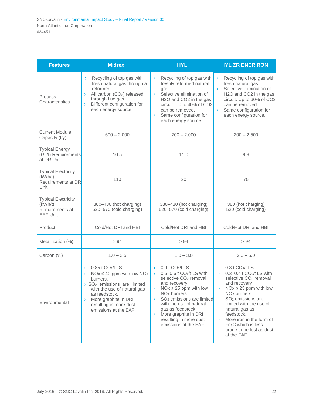| <b>Features</b>                                                             | <b>Midrex</b>                                                                                                                                                                                                                                                                                   | <b>HYL</b>                                                                                                                                                                                                                                                                                                                                                                                                                        | <b>HYL ZR ENERIRON</b>                                                                                                                                                                                                                                                                                                                                                                                                                                                   |  |
|-----------------------------------------------------------------------------|-------------------------------------------------------------------------------------------------------------------------------------------------------------------------------------------------------------------------------------------------------------------------------------------------|-----------------------------------------------------------------------------------------------------------------------------------------------------------------------------------------------------------------------------------------------------------------------------------------------------------------------------------------------------------------------------------------------------------------------------------|--------------------------------------------------------------------------------------------------------------------------------------------------------------------------------------------------------------------------------------------------------------------------------------------------------------------------------------------------------------------------------------------------------------------------------------------------------------------------|--|
| Process<br>Characteristics                                                  | Recycling of top gas with<br>$\lambda$<br>fresh natural gas through a<br>reformer.<br>All carbon (CO <sub>2</sub> ) released<br>$\rightarrow$<br>through flue gas.<br>Different configuration for<br>$\lambda$<br>each energy source.                                                           | Recycling of top gas with<br>$\sum_{i=1}^{n}$<br>freshly reformed natural<br>gas.<br>Selective elimination of<br>$\sum_{i=1}^{n}$<br>H2O and CO2 in the gas<br>circuit. Up to 40% of CO2<br>can be removed.<br>Same configuration for<br>$\sum_{i=1}^{n}$<br>each energy source.                                                                                                                                                  | Recycling of top gas with<br>$\lambda$<br>fresh natural gas.<br>Selective elimination of<br>$\overline{\phantom{0}}$<br>H2O and CO2 in the gas<br>circuit. Up to 60% of CO2<br>can be removed.<br>Same configuration for<br>$\lambda$<br>each energy source.                                                                                                                                                                                                             |  |
| <b>Current Module</b><br>Capacity (t/y)                                     | $600 - 2,000$                                                                                                                                                                                                                                                                                   | $200 - 2,000$                                                                                                                                                                                                                                                                                                                                                                                                                     | $200 - 2,500$                                                                                                                                                                                                                                                                                                                                                                                                                                                            |  |
| <b>Typical Energy</b><br>(GJ/t) Requirements<br>at DR Unit                  | 10.5                                                                                                                                                                                                                                                                                            | 11.0                                                                                                                                                                                                                                                                                                                                                                                                                              | 9.9                                                                                                                                                                                                                                                                                                                                                                                                                                                                      |  |
| <b>Typical Electricity</b><br>(kWh/t)<br>Requirements at DR<br>Unit         | 110                                                                                                                                                                                                                                                                                             | 30                                                                                                                                                                                                                                                                                                                                                                                                                                | 75                                                                                                                                                                                                                                                                                                                                                                                                                                                                       |  |
| <b>Typical Electricity</b><br>(kWh/t)<br>Requirements at<br><b>EAF Unit</b> | 380-430 (hot charging)<br>520-570 (cold charging)                                                                                                                                                                                                                                               | 380-430 (hot charging)<br>520-570 (cold charging)                                                                                                                                                                                                                                                                                                                                                                                 | 380 (hot charging)<br>520 (cold charging)                                                                                                                                                                                                                                                                                                                                                                                                                                |  |
| Product                                                                     | Cold/Hot DRI and HBI                                                                                                                                                                                                                                                                            | Cold/Hot DRI and HBI                                                                                                                                                                                                                                                                                                                                                                                                              | Cold/Hot DRI and HBI                                                                                                                                                                                                                                                                                                                                                                                                                                                     |  |
| Metallization (%)                                                           | > 94                                                                                                                                                                                                                                                                                            | > 94                                                                                                                                                                                                                                                                                                                                                                                                                              | > 94                                                                                                                                                                                                                                                                                                                                                                                                                                                                     |  |
| Carbon (%)                                                                  | $1.0 - 2.5$                                                                                                                                                                                                                                                                                     | $1.0 - 3.0$                                                                                                                                                                                                                                                                                                                                                                                                                       | $2.0 - 5.0$                                                                                                                                                                                                                                                                                                                                                                                                                                                              |  |
| Environmental                                                               | 0.85 t CO <sub>2</sub> /t LS<br>$\rightarrow$<br>$NOx \le 40$ ppm with low $NOx$<br>burners.<br>$\rightarrow$ SO <sub>2</sub> emissions are limited<br>with the use of natural gas<br>as feedstock.<br>More graphite in DRI<br>$\rightarrow$<br>resulting in more dust<br>emissions at the EAF. | $0.9$ t $CO2/t$ LS<br>$\sum_{i=1}^{n}$<br>$0.5 - 0.6$ t CO <sub>2</sub> /t LS with<br>$\sum_{i=1}^{n}$<br>selective CO <sub>2</sub> removal<br>and recovery<br>$NOx \leq 25$ ppm with low<br>NO <sub>x</sub> burners.<br>SO <sub>2</sub> emissions are limited<br>$\sum_{i=1}^{n}$<br>with the use of natural<br>gas as feedstock.<br>More graphite in DRI<br>$\sum_{i=1}^{n}$<br>resulting in more dust<br>emissions at the EAF. | $0.8$ t CO <sub>2</sub> /t LS<br>$\sum_{i=1}^{n}$<br>$0.3 - 0.4$ t CO <sub>2</sub> /t LS with<br>$\sum_{i=1}^{n}$<br>selective CO <sub>2</sub> removal<br>and recovery<br>$NOx \leq 25$ ppm with low<br>NO <sub>x</sub> burners.<br>SO <sub>2</sub> emissions are<br>$\mathcal{Y}$<br>limited with the use of<br>natural gas as<br>feedstock.<br>More iron in the form of<br>$\mathcal{F}$<br>Fe <sub>3</sub> C which is less<br>prone to be lost as dust<br>at the EAF. |  |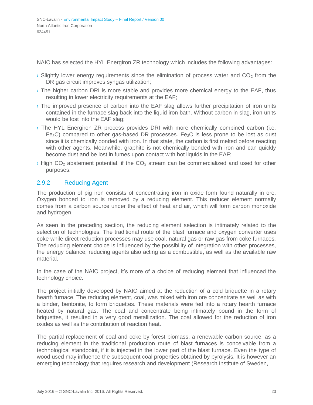NAIC has selected the HYL Energiron ZR technology which includes the following advantages:

- $\rightarrow$  Slightly lower energy requirements since the elimination of process water and CO<sub>2</sub> from the DR gas circuit improves syngas utilization;
- › The higher carbon DRI is more stable and provides more chemical energy to the EAF, thus resulting in lower electricity requirements at the EAF;
- › The improved presence of carbon into the EAF slag allows further precipitation of iron units contained in the furnace slag back into the liquid iron bath. Without carbon in slag, iron units would be lost into the EAF slag;
- › The HYL Energiron ZR process provides DRI with more chemically combined carbon (i.e.  $Fe<sub>3</sub>C$ ) compared to other gas-based DR processes. Fe $<sub>3</sub>C$  is less prone to be lost as dust</sub> since it is chemically bonded with iron. In that state, the carbon is first melted before reacting with other agents. Meanwhile, graphite is not chemically bonded with iron and can quickly become dust and be lost in fumes upon contact with hot liquids in the EAF;
- $\rightarrow$  High CO<sub>2</sub> abatement potential, if the CO<sub>2</sub> stream can be commercialized and used for other purposes.

#### <span id="page-29-0"></span>2.9.2 Reducing Agent

The production of pig iron consists of concentrating iron in oxide form found naturally in ore. Oxygen bonded to iron is removed by a reducing element. This reducer element normally comes from a carbon source under the effect of heat and air, which will form carbon monoxide and hydrogen.

As seen in the preceding section, the reducing element selection is intimately related to the selection of technologies. The traditional route of the blast furnace and oxygen converter uses coke while direct reduction processes may use coal, natural gas or raw gas from coke furnaces. The reducing element choice is influenced by the possibility of integration with other processes, the energy balance, reducing agents also acting as a combustible, as well as the available raw material.

In the case of the NAIC project, it's more of a choice of reducing element that influenced the technology choice.

The project initially developed by NAIC aimed at the reduction of a cold briquette in a rotary hearth furnace. The reducing element, coal, was mixed with iron ore concentrate as well as with a binder, bentonite, to form briquettes. These materials were fed into a rotary hearth furnace heated by natural gas. The coal and concentrate being intimately bound in the form of briquettes, it resulted in a very good metallization. The coal allowed for the reduction of iron oxides as well as the contribution of reaction heat.

The partial replacement of coal and coke by forest biomass, a renewable carbon source, as a reducing element in the traditional production route of blast furnaces is conceivable from a technological standpoint, if it is injected in the lower part of the blast furnace. Even the type of wood used may influence the subsequent coal properties obtained by pyrolysis. It is however an emerging technology that requires research and development (Research Institute of Sweden,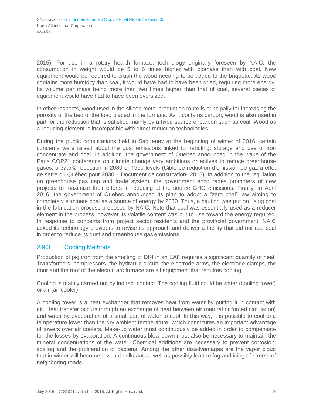2015). For use in a rotary hearth furnace, technology originally foreseen by NAIC, the consumption in weight would be 5 to 6 times higher with biomass than with coal. New equipment would be required to crush the wood needing to be added to the briquette. As wood contains more humidity than coal, it would have had to have been dried, requiring more energy. Its volume per mass being more than two times higher than that of coal, several pieces of equipment would have had to have been oversized.

In other respects, wood used in the silicon metal production route is principally for increasing the porosity of the bed of the load placed in the furnace. As it contains carbon, wood is also used in part for the reduction that is satisfied mainly by a fixed source of carbon such as coal. Wood as a reducing element is incompatible with direct reduction technologies.

During the public consultations held in Saguenay at the beginning of winter of 2016, certain concerns were raised about the dust emissions linked to handling, storage and use of iron concentrate and coal. In addition, the government of Quebec announced in the wake of the Paris COP21 conference on climate change very ambitions objectives to reduce greenhouse gases: a 37.5% reduction in 2030 of 1990 levels (Cible de réduction d'émission de gaz à effet de serre du Québec pour 2030 – Document de consultation- 2015). In addition to the regulation on greenhouse gas cap and trade system, the government encourages promoters of new projects to maximize their efforts in reducing at the source GHG emissions. Finally, in April 2016, the government of Quebec announced its plan to adopt a "zero coal" law aiming to completely eliminate coal as a source of energy by 2030. Thus, a caution was put on using coal in the fabrication process proposed by NAIC. Note that coal was essentially used as a reducer element in the process, however its volatile content was put to use toward the energy required. In response to concerns from project sector residents and the provincial government, NAIC asked its technology providers to revise its approach and deliver a facility that did not use coal in order to reduce its dust and greenhouse gas emissions.

#### <span id="page-30-0"></span>2.9.3 Cooling Methods

Production of pig iron from the smelting of DRI in an EAF requires a significant quantity of heat. Transformers, compressors, the hydraulic circuit, the electrode arms, the electrode clamps, the door and the roof of the electric arc furnace are all equipment that requires cooling.

Cooling is mainly carried out by indirect contact. The cooling fluid could be water (cooling tower) or air (air cooler).

A cooling tower is a heat exchanger that removes heat from water by putting it in contact with air. Heat transfer occurs through an exchange of heat between air (natural or forced circulation) and water by evaporation of a small part of water to cool. In this way, it is possible to cool to a temperature lower than the dry ambient temperature, which constitutes an important advantage of towers over air coolers. Make-up water must continuously be added in order to compensate for the losses by evaporation. A continuous blow-down must also be necessary to maintain the mineral concentrations of the water. Chemical additions are necessary to prevent corrosion, scaling and the proliferation of bacteria. Among the other disadvantages are the vapor cloud that in winter will become a visual pollutant as well as possibly lead to fog and icing of streets of neighboring roads.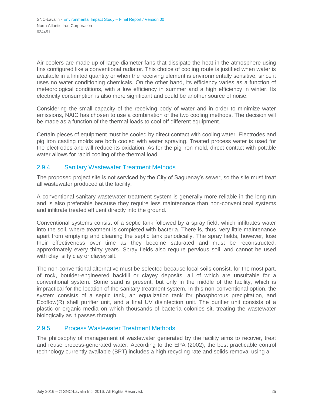Air coolers are made up of large-diameter fans that dissipate the heat in the atmosphere using fins configured like a conventional radiator. This choice of cooling route is justified when water is available in a limited quantity or when the receiving element is environmentally sensitive, since it uses no water conditioning chemicals. On the other hand, its efficiency varies as a function of meteorological conditions, with a low efficiency in summer and a high efficiency in winter. Its electricity consumption is also more significant and could be another source of noise.

Considering the small capacity of the receiving body of water and in order to minimize water emissions, NAIC has chosen to use a combination of the two cooling methods. The decision will be made as a function of the thermal loads to cool off different equipment.

Certain pieces of equipment must be cooled by direct contact with cooling water. Electrodes and pig iron casting molds are both cooled with water spraying. Treated process water is used for the electrodes and will reduce its oxidation. As for the pig iron mold, direct contact with potable water allows for rapid cooling of the thermal load.

#### <span id="page-31-0"></span>2.9.4 Sanitary Wastewater Treatment Methods

The proposed project site is not serviced by the City of Saguenay's sewer, so the site must treat all wastewater produced at the facility.

A conventional sanitary wastewater treatment system is generally more reliable in the long run and is also preferable because they require less maintenance than non-conventional systems and infiltrate treated effluent directly into the ground.

Conventional systems consist of a septic tank followed by a spray field, which infiltrates water into the soil, where treatment is completed with bacteria. There is, thus, very little maintenance apart from emptying and cleaning the septic tank periodically. The spray fields, however, lose their effectiveness over time as they become saturated and must be reconstructed, approximately every thirty years. Spray fields also require pervious soil, and cannot be used with clay, silty clay or clayey silt.

The non-conventional alternative must be selected because local soils consist, for the most part, of rock, boulder-engineered backfill or clayey deposits, all of which are unsuitable for a conventional system. Some sand is present, but only in the middle of the facility, which is impractical for the location of the sanitary treatment system. In this non-conventional option, the system consists of a septic tank, an equalization tank for phosphorous precipitation, and Ecoflow(R) shell purifier unit, and a final UV disinfection unit. The purifier unit consists of a plastic or organic media on which thousands of bacteria colonies sit, treating the wastewater biologically as it passes through.

#### <span id="page-31-1"></span>2.9.5 Process Wastewater Treatment Methods

The philosophy of management of wastewater generated by the facility aims to recover, treat and reuse process-generated water. According to the EPA (2002), the best practicable control technology currently available (BPT) includes a high recycling rate and solids removal using a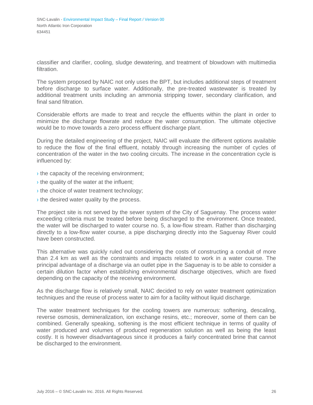classifier and clarifier, cooling, sludge dewatering, and treatment of blowdown with multimedia filtration.

The system proposed by NAIC not only uses the BPT, but includes additional steps of treatment before discharge to surface water. Additionally, the pre-treated wastewater is treated by additional treatment units including an ammonia stripping tower, secondary clarification, and final sand filtration.

Considerable efforts are made to treat and recycle the effluents within the plant in order to minimize the discharge flowrate and reduce the water consumption. The ultimate objective would be to move towards a zero process effluent discharge plant.

During the detailed engineering of the project, NAIC will evaluate the different options available to reduce the flow of the final effluent, notably through increasing the number of cycles of concentration of the water in the two cooling circuits. The increase in the concentration cycle is influenced by:

- $\rightarrow$  the capacity of the receiving environment;
- $\rightarrow$  the quality of the water at the influent;
- › the choice of water treatment technology;
- $\rightarrow$  the desired water quality by the process.

The project site is not served by the sewer system of the City of Saguenay. The process water exceeding criteria must be treated before being discharged to the environment. Once treated, the water will be discharged to water course no. 5, a low-flow stream. Rather than discharging directly to a low-flow water course, a pipe discharging directly into the Saguenay River could have been constructed.

This alternative was quickly ruled out considering the costs of constructing a conduit of more than 2.4 km as well as the constraints and impacts related to work in a water course. The principal advantage of a discharge via an outlet pipe in the Saguenay is to be able to consider a certain dilution factor when establishing environmental discharge objectives, which are fixed depending on the capacity of the receiving environment.

As the discharge flow is relatively small, NAIC decided to rely on water treatment optimization techniques and the reuse of process water to aim for a facility without liquid discharge.

The water treatment techniques for the cooling towers are numerous: softening, descaling, reverse osmosis, demineralization, ion exchange resins, etc.; moreover, some of them can be combined. Generally speaking, softening is the most efficient technique in terms of quality of water produced and volumes of produced regeneration solution as well as being the least costly. It is however disadvantageous since it produces a fairly concentrated brine that cannot be discharged to the environment.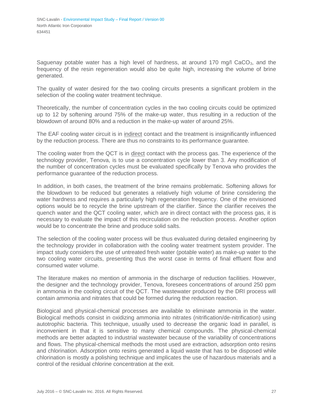Saguenay potable water has a high level of hardness, at around 170 mg/l  $CaCO<sub>3</sub>$ , and the frequency of the resin regeneration would also be quite high, increasing the volume of brine generated.

The quality of water desired for the two cooling circuits presents a significant problem in the selection of the cooling water treatment technique.

Theoretically, the number of concentration cycles in the two cooling circuits could be optimized up to 12 by softening around 75% of the make-up water, thus resulting in a reduction of the blowdown of around 80% and a reduction in the make-up water of around 25%.

The EAF cooling water circuit is in indirect contact and the treatment is insignificantly influenced by the reduction process. There are thus no constraints to its performance guarantee.

The cooling water from the QCT is in direct contact with the process gas. The experience of the technology provider, Tenova, is to use a concentration cycle lower than 3. Any modification of the number of concentration cycles must be evaluated specifically by Tenova who provides the performance guarantee of the reduction process.

In addition, in both cases, the treatment of the brine remains problematic. Softening allows for the blowdown to be reduced but generates a relatively high volume of brine considering the water hardness and requires a particularly high regeneration frequency. One of the envisioned options would be to recycle the brine upstream of the clarifier. Since the clarifier receives the quench water and the QCT cooling water, which are in direct contact with the process gas, it is necessary to evaluate the impact of this recirculation on the reduction process. Another option would be to concentrate the brine and produce solid salts.

The selection of the cooling water process will be thus evaluated during detailed engineering by the technology provider in collaboration with the cooling water treatment system provider. The impact study considers the use of untreated fresh water (potable water) as make-up water to the two cooling water circuits, presenting thus the worst case in terms of final effluent flow and consumed water volume.

The literature makes no mention of ammonia in the discharge of reduction facilities. However, the designer and the technology provider, Tenova, foresees concentrations of around 250 ppm in ammonia in the cooling circuit of the QCT. The wastewater produced by the DRI process will contain ammonia and nitrates that could be formed during the reduction reaction.

Biological and physical-chemical processes are available to eliminate ammonia in the water. Biological methods consist in oxidizing ammonia into nitrates (nitrification/de-nitrification) using autotrophic bacteria. This technique, usually used to decrease the organic load in parallel, is inconvenient in that it is sensitive to many chemical compounds. The physical-chemical methods are better adapted to industrial wastewater because of the variability of concentrations and flows. The physical-chemical methods the most used are extraction, adsorption onto resins and chlorination. Adsorption onto resins generated a liquid waste that has to be disposed while chlorination is mostly a polishing technique and implicates the use of hazardous materials and a control of the residual chlorine concentration at the exit.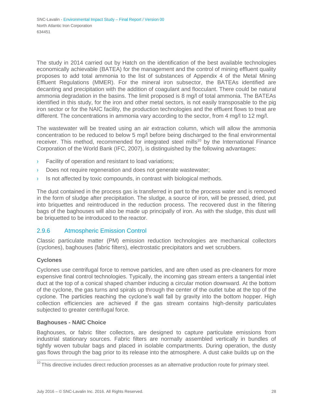The study in 2014 carried out by Hatch on the identification of the best available technologies economically achievable (BATEA) for the management and the control of mining effluent quality proposes to add total ammonia to the list of substances of Appendix 4 of the Metal Mining Effluent Regulations (MMER). For the mineral iron subsector, the BATEAs identified are decanting and precipitation with the addition of coagulant and flocculant. There could be natural ammonia degradation in the basins. The limit proposed is 8 mg/l of total ammonia. The BATEAs identified in this study, for the iron and other metal sectors, is not easily transposable to the pig iron sector or for the NAIC facility, the production technologies and the effluent flows to treat are different. The concentrations in ammonia vary according to the sector, from 4 mg/l to 12 mg/l.

The wastewater will be treated using an air extraction column, which will allow the ammonia concentration to be reduced to below 5 mg/l before being discharged to the final environmental receiver. This method, recommended for integrated steel mills<sup>[10](#page-34-1)</sup> by the International Finance Corporation of the World Bank (IFC, 2007), is distinguished by the following advantages:

- › Facility of operation and resistant to load variations;
- Does not require regeneration and does not generate wastewater;
- $\rightarrow$  Is not affected by toxic compounds, in contrast with biological methods.

The dust contained in the process gas is transferred in part to the process water and is removed in the form of sludge after precipitation. The sludge, a source of iron, will be pressed, dried, put into briquettes and reintroduced in the reduction process. The recovered dust in the filtering bags of the baghouses will also be made up principally of iron. As with the sludge, this dust will be briquetted to be introduced to the reactor.

#### <span id="page-34-0"></span>2.9.6 Atmospheric Emission Control

Classic particulate matter (PM) emission reduction technologies are mechanical collectors (cyclones), baghouses (fabric filters), electrostatic precipitators and wet scrubbers.

#### **Cyclones**

Cyclones use centrifugal force to remove particles, and are often used as pre-cleaners for more expensive final control technologies. Typically, the incoming gas stream enters a tangential inlet duct at the top of a conical shaped chamber inducing a circular motion downward. At the bottom of the cyclone, the gas turns and spirals up through the center of the outlet tube at the top of the cyclone. The particles reaching the cyclone's wall fall by gravity into the bottom hopper. High collection efficiencies are achieved if the gas stream contains high-density particulates subjected to greater centrifugal force.

#### **Baghouses - NAIC Choice**

Baghouses, or fabric filter collectors, are designed to capture particulate emissions from industrial stationary sources. Fabric filters are normally assembled vertically in bundles of tightly woven tubular bags and placed in isolable compartments. During operation, the dusty gas flows through the bag prior to its release into the atmosphere. A dust cake builds up on the

<span id="page-34-1"></span> $10$ This directive includes direct reduction processes as an alternative production route for primary steel.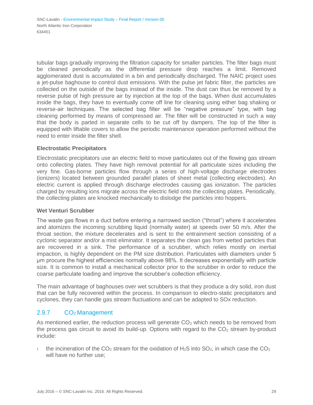tubular bags gradually improving the filtration capacity for smaller particles. The filter bags must be cleaned periodically as the differential pressure drop reaches a limit. Removed agglomerated dust is accumulated in a bin and periodically discharged. The NAIC project uses a jet-pulse baghouse to control dust emissions. With the pulse jet fabric filter, the particles are collected on the outside of the bags instead of the inside. The dust can thus be removed by a reverse pulse of high pressure air by injection at the top of the bags. When dust accumulates inside the bags, they have to eventually come off line for cleaning using either bag shaking or reverse-air techniques. The selected bag filter will be "negative pressure" type, with bag cleaning performed by means of compressed air. The filter will be constructed in such a way that the body is parted in separate cells to be cut off by dampers. The top of the filter is equipped with liftable covers to allow the periodic maintenance operation performed without the need to enter inside the filter shell.

#### **Electrostatic Precipitators**

Electrostatic precipitators use an electric field to move particulates out of the flowing gas stream onto collecting plates. They have high removal potential for all particulate sizes including the very fine. Gas-borne particles flow through a series of high-voltage discharge electrodes (ionizers) located between grounded parallel plates of sheet metal (collecting electrodes). An electric current is applied through discharge electrodes causing gas ionization. The particles charged by resulting ions migrate across the electric field onto the collecting plates. Periodically, the collecting plates are knocked mechanically to dislodge the particles into hoppers.

#### **Wet Venturi Scrubber**

The waste gas flows in a duct before entering a narrowed section ("throat") where it accelerates and atomizes the incoming scrubbing liquid (normally water) at speeds over 50 m/s. After the throat section, the mixture decelerates and is sent to the entrainment section consisting of a cyclonic separator and/or a mist eliminator. It separates the clean gas from wetted particles that are recovered in a sink. The performance of a scrubber, which relies mostly on inertial impaction, is highly dependent on the PM size distribution. Particulates with diameters under 5 μm procure the highest efficiencies normally above 98%. It decreases exponentially with particle size. It is common to install a mechanical collector prior to the scrubber in order to reduce the coarse particulate loading and improve the scrubber's collection efficiency.

The main advantage of baghouses over wet scrubbers is that they produce a dry solid, iron dust that can be fully recovered within the process. In comparison to electro-static precipitators and cyclones, they can handle gas stream fluctuations and can be adapted to SOx reduction.

#### <span id="page-35-0"></span>2.9.7 CO<sup>2</sup> Management

As mentioned earlier, the reduction process will generate  $CO<sub>2</sub>$  which needs to be removed from the process gas circuit to avoid its build-up. Options with regard to the  $CO<sub>2</sub>$  stream by-product include:

 $\rightarrow$  the incineration of the CO<sub>2</sub> stream for the oxidation of H<sub>2</sub>S into SO<sub>2</sub>, in which case the CO<sub>2</sub> will have no further use;